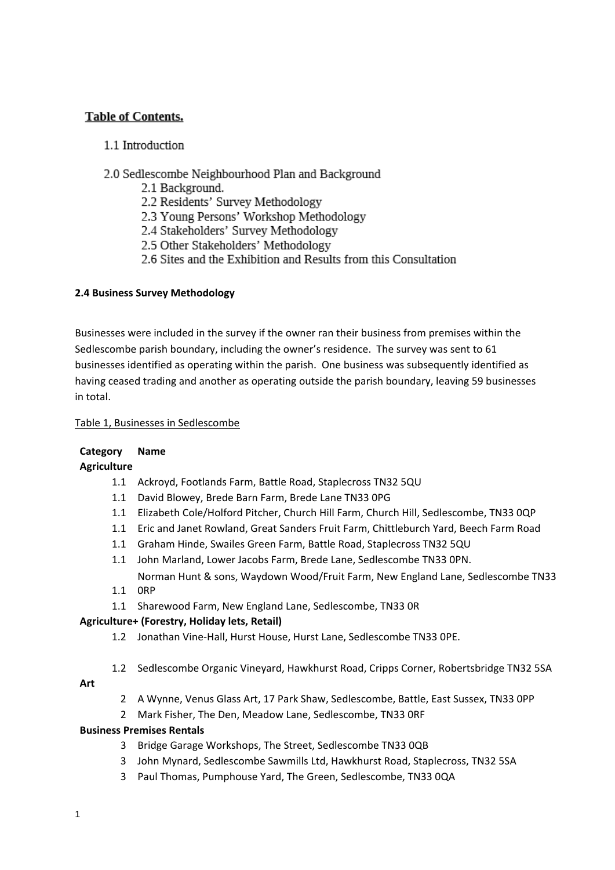# **Table of Contents.**

# 1.1 Introduction

# 2.0 Sedlescombe Neighbourhood Plan and Background

- 2.1 Background.
- 2.2 Residents' Survey Methodology
- 2.3 Young Persons' Workshop Methodology
- 2.4 Stakeholders' Survey Methodology
- 2.5 Other Stakeholders' Methodology
- 2.6 Sites and the Exhibition and Results from this Consultation

## **2.4 Business Survey Methodology**

Businesses were included in the survey if the owner ran their business from premises within the Sedlescombe parish boundary, including the owner's residence. The survey was sent to 61 businesses identified as operating within the parish. One business was subsequently identified as having ceased trading and another as operating outside the parish boundary, leaving 59 businesses in total.

### Table 1, Businesses in Sedlescombe

## **Category Name**

**Agriculture**

- 1.1 Ackroyd, Footlands Farm, Battle Road, Staplecross TN32 5QU
- 1.1 David Blowey, Brede Barn Farm, Brede Lane TN33 0PG
- 1.1 Elizabeth Cole/Holford Pitcher, Church Hill Farm, Church Hill, Sedlescombe, TN33 0QP
- 1.1 Eric and Janet Rowland, Great Sanders Fruit Farm, Chittleburch Yard, Beech Farm Road
- 1.1 Graham Hinde, Swailes Green Farm, Battle Road, Staplecross TN32 5QU
- 1.1 John Marland, Lower Jacobs Farm, Brede Lane, Sedlescombe TN33 0PN. Norman Hunt & sons, Waydown Wood/Fruit Farm, New England Lane, Sedlescombe TN33
- 1.1 0RP
- 1.1 Sharewood Farm, New England Lane, Sedlescombe, TN33 0R

## **Agriculture+ (Forestry, Holiday lets, Retail)**

- 1.2 Jonathan Vine-Hall, Hurst House, Hurst Lane, Sedlescombe TN33 0PE.
- 1.2 Sedlescombe Organic Vineyard, Hawkhurst Road, Cripps Corner, Robertsbridge TN32 5SA

# **Art**

- 2 A Wynne, Venus Glass Art, 17 Park Shaw, Sedlescombe, Battle, East Sussex, TN33 0PP
- 2 Mark Fisher, The Den, Meadow Lane, Sedlescombe, TN33 0RF

## **Business Premises Rentals**

- 3 Bridge Garage Workshops, The Street, Sedlescombe TN33 0QB
- 3 John Mynard, Sedlescombe Sawmills Ltd, Hawkhurst Road, Staplecross, TN32 5SA
- 3 Paul Thomas, Pumphouse Yard, The Green, Sedlescombe, TN33 0QA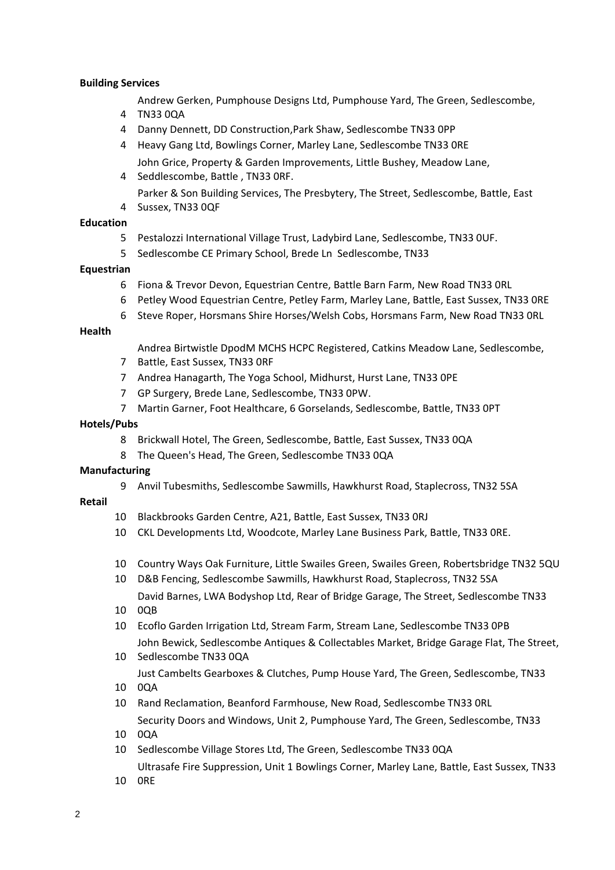#### **Building Services**

- Andrew Gerken, Pumphouse Designs Ltd, Pumphouse Yard, The Green, Sedlescombe,
- TN33 0QA
- Danny Dennett, DD Construction,Park Shaw, Sedlescombe TN33 0PP
- Heavy Gang Ltd, Bowlings Corner, Marley Lane, Sedlescombe TN33 0RE John Grice, Property & Garden Improvements, Little Bushey, Meadow Lane,
- Seddlescombe, Battle , TN33 0RF.
- Sussex, TN33 0QF Parker & Son Building Services, The Presbytery, The Street, Sedlescombe, Battle, East

### **Education**

- Pestalozzi International Village Trust, Ladybird Lane, Sedlescombe, TN33 0UF.
- Sedlescombe CE Primary School, Brede Ln Sedlescombe, TN33

### **Equestrian**

- Fiona & Trevor Devon, Equestrian Centre, Battle Barn Farm, New Road TN33 0RL
- Petley Wood Equestrian Centre, Petley Farm, Marley Lane, Battle, East Sussex, TN33 0RE
- Steve Roper, Horsmans Shire Horses/Welsh Cobs, Horsmans Farm, New Road TN33 0RL

#### **Health**

- Andrea Birtwistle DpodM MCHS HCPC Registered, Catkins Meadow Lane, Sedlescombe,
- Battle, East Sussex, TN33 0RF
- Andrea Hanagarth, The Yoga School, Midhurst, Hurst Lane, TN33 0PE
- GP Surgery, Brede Lane, Sedlescombe, TN33 0PW.
- Martin Garner, Foot Healthcare, 6 Gorselands, Sedlescombe, Battle, TN33 0PT

#### **Hotels/Pubs**

- Brickwall Hotel, The Green, Sedlescombe, Battle, East Sussex, TN33 0QA
- The Queen's Head, The Green, Sedlescombe TN33 0QA

#### **Manufacturing**

Anvil Tubesmiths, Sedlescombe Sawmills, Hawkhurst Road, Staplecross, TN32 5SA

#### **Retail**

- Blackbrooks Garden Centre, A21, Battle, East Sussex, TN33 0RJ
- CKL Developments Ltd, Woodcote, Marley Lane Business Park, Battle, TN33 0RE.
- Country Ways Oak Furniture, Little Swailes Green, Swailes Green, Robertsbridge TN32 5QU
- D&B Fencing, Sedlescombe Sawmills, Hawkhurst Road, Staplecross, TN32 5SA David Barnes, LWA Bodyshop Ltd, Rear of Bridge Garage, The Street, Sedlescombe TN33
- 0QB
- Ecoflo Garden Irrigation Ltd, Stream Farm, Stream Lane, Sedlescombe TN33 0PB John Bewick, Sedlescombe Antiques & Collectables Market, Bridge Garage Flat, The Street,
- Sedlescombe TN33 0QA Just Cambelts Gearboxes & Clutches, Pump House Yard, The Green, Sedlescombe, TN33
- 0QA
- Rand Reclamation, Beanford Farmhouse, New Road, Sedlescombe TN33 0RL Security Doors and Windows, Unit 2, Pumphouse Yard, The Green, Sedlescombe, TN33
- 0QA
- Sedlescombe Village Stores Ltd, The Green, Sedlescombe TN33 0QA
- Ultrasafe Fire Suppression, Unit 1 Bowlings Corner, Marley Lane, Battle, East Sussex, TN33
- 0RE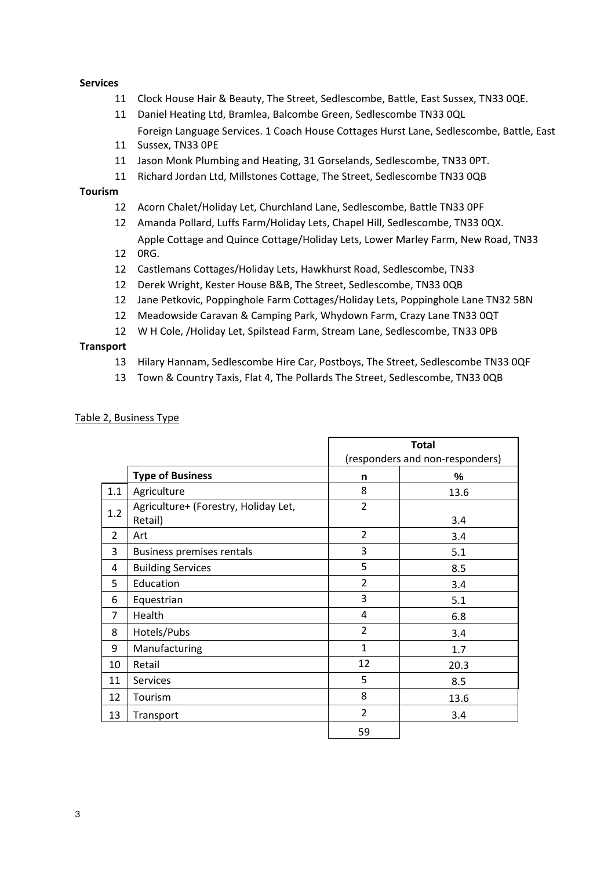#### **Services**

- Clock House Hair & Beauty, The Street, Sedlescombe, Battle, East Sussex, TN33 0QE.
- Daniel Heating Ltd, Bramlea, Balcombe Green, Sedlescombe TN33 0QL Foreign Language Services. 1 Coach House Cottages Hurst Lane, Sedlescombe, Battle, East
- Sussex, TN33 0PE
- Jason Monk Plumbing and Heating, 31 Gorselands, Sedlescombe, TN33 0PT.
- Richard Jordan Ltd, Millstones Cottage, The Street, Sedlescombe TN33 0QB

#### **Tourism**

- Acorn Chalet/Holiday Let, Churchland Lane, Sedlescombe, Battle TN33 0PF
- Amanda Pollard, Luffs Farm/Holiday Lets, Chapel Hill, Sedlescombe, TN33 0QX. Apple Cottage and Quince Cottage/Holiday Lets, Lower Marley Farm, New Road, TN33
- 0RG.
- Castlemans Cottages/Holiday Lets, Hawkhurst Road, Sedlescombe, TN33
- Derek Wright, Kester House B&B, The Street, Sedlescombe, TN33 0QB
- Jane Petkovic, Poppinghole Farm Cottages/Holiday Lets, Poppinghole Lane TN32 5BN
- Meadowside Caravan & Camping Park, Whydown Farm, Crazy Lane TN33 0QT
- W H Cole, /Holiday Let, Spilstead Farm, Stream Lane, Sedlescombe, TN33 0PB

#### **Transport**

- Hilary Hannam, Sedlescombe Hire Car, Postboys, The Street, Sedlescombe TN33 0QF
- Town & Country Taxis, Flat 4, The Pollards The Street, Sedlescombe, TN33 0QB

|                |                                                 |                | <b>Total</b>                    |  |
|----------------|-------------------------------------------------|----------------|---------------------------------|--|
|                |                                                 |                | (responders and non-responders) |  |
|                | <b>Type of Business</b>                         | n              | %                               |  |
| 1.1            | Agriculture                                     | 8              | 13.6                            |  |
| 1.2            | Agriculture+ (Forestry, Holiday Let,<br>Retail) | $\overline{2}$ | 3.4                             |  |
| $\overline{2}$ | Art                                             | $\overline{2}$ | 3.4                             |  |
| 3              | <b>Business premises rentals</b>                | 3              | 5.1                             |  |
| 4              | <b>Building Services</b>                        | 5              | 8.5                             |  |
| 5              | Education                                       | $\overline{2}$ | 3.4                             |  |
| 6              | Equestrian                                      | 3              | 5.1                             |  |
| $\overline{7}$ | Health                                          | 4              | 6.8                             |  |
| 8              | Hotels/Pubs                                     | $\overline{2}$ | 3.4                             |  |
| 9              | Manufacturing                                   | $\mathbf{1}$   | 1.7                             |  |
| 10             | Retail                                          | 12             | 20.3                            |  |
| 11             | <b>Services</b>                                 | 5              | 8.5                             |  |
| 12             | Tourism                                         | 8              | 13.6                            |  |
| 13             | Transport                                       | $\overline{2}$ | 3.4                             |  |
|                |                                                 | 59             |                                 |  |

#### Table 2, Business Type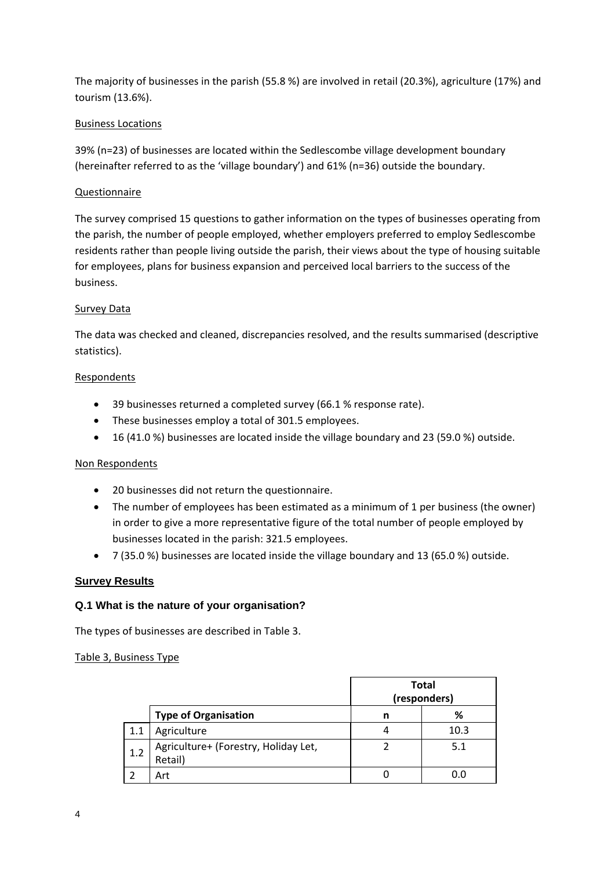The majority of businesses in the parish (55.8 %) are involved in retail (20.3%), agriculture (17%) and tourism (13.6%).

## Business Locations

39% (n=23) of businesses are located within the Sedlescombe village development boundary (hereinafter referred to as the 'village boundary') and 61% (n=36) outside the boundary.

## Questionnaire

The survey comprised 15 questions to gather information on the types of businesses operating from the parish, the number of people employed, whether employers preferred to employ Sedlescombe residents rather than people living outside the parish, their views about the type of housing suitable for employees, plans for business expansion and perceived local barriers to the success of the business.

## **Survey Data**

The data was checked and cleaned, discrepancies resolved, and the results summarised (descriptive statistics).

### Respondents

- 39 businesses returned a completed survey (66.1 % response rate).
- These businesses employ a total of 301.5 employees.
- 16 (41.0 %) businesses are located inside the village boundary and 23 (59.0 %) outside.

## Non Respondents

- 20 businesses did not return the questionnaire.
- The number of employees has been estimated as a minimum of 1 per business (the owner) in order to give a more representative figure of the total number of people employed by businesses located in the parish: 321.5 employees.
- 7 (35.0 %) businesses are located inside the village boundary and 13 (65.0 %) outside.

## **Survey Results**

## **Q.1 What is the nature of your organisation?**

The types of businesses are described in Table 3.

## Table 3, Business Type

|     |                                                 | <b>Total</b><br>(responders) |      |
|-----|-------------------------------------------------|------------------------------|------|
|     | <b>Type of Organisation</b>                     | n                            | %    |
| 1.1 | Agriculture                                     |                              | 10.3 |
| 1.2 | Agriculture+ (Forestry, Holiday Let,<br>Retail) |                              | 5.1  |
|     | Art                                             |                              |      |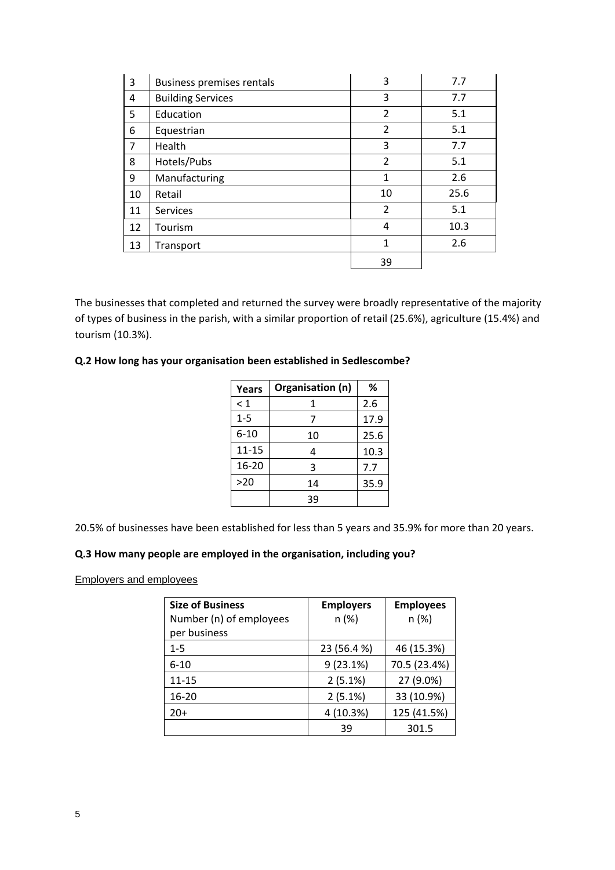| 3  | Business premises rentals | 3              | 7.7  |
|----|---------------------------|----------------|------|
| 4  | <b>Building Services</b>  | 3              | 7.7  |
| 5  | Education                 | $\overline{2}$ | 5.1  |
| 6  | Equestrian                | $\overline{2}$ | 5.1  |
| 7  | Health                    | 3              | 7.7  |
| 8  | Hotels/Pubs               | $\overline{2}$ | 5.1  |
| 9  | Manufacturing             | 1              | 2.6  |
| 10 | Retail                    | 10             | 25.6 |
| 11 | <b>Services</b>           | $\overline{2}$ | 5.1  |
| 12 | Tourism                   | 4              | 10.3 |
| 13 | Transport                 | 1              | 2.6  |
|    |                           | 39             |      |

The businesses that completed and returned the survey were broadly representative of the majority of types of business in the parish, with a similar proportion of retail (25.6%), agriculture (15.4%) and tourism (10.3%).

### **Q.2 How long has your organisation been established in Sedlescombe?**

| Years     | Organisation (n) | %    |
|-----------|------------------|------|
| $\leq 1$  | 1                | 2.6  |
| $1 - 5$   | 7                | 17.9 |
| $6 - 10$  | 10               | 25.6 |
| $11 - 15$ | 4                | 10.3 |
| 16-20     | 3                | 7.7  |
| >20       | 14               | 35.9 |
|           | 39               |      |

20.5% of businesses have been established for less than 5 years and 35.9% for more than 20 years.

#### **Q.3 How many people are employed in the organisation, including you?**

Employers and employees

| <b>Size of Business</b> | <b>Employers</b> | <b>Employees</b> |
|-------------------------|------------------|------------------|
| Number (n) of employees | n(%)             | n (%)            |
| per business            |                  |                  |
| $1 - 5$                 | 23 (56.4 %)      | 46 (15.3%)       |
| $6 - 10$                | 9(23.1%)         | 70.5 (23.4%)     |
| 11-15                   | 2(5.1%)          | 27 (9.0%)        |
| 16-20                   | 2(5.1%)          | 33 (10.9%)       |
| $20+$                   | 4 (10.3%)        | 125 (41.5%)      |
|                         | 39               | 301.5            |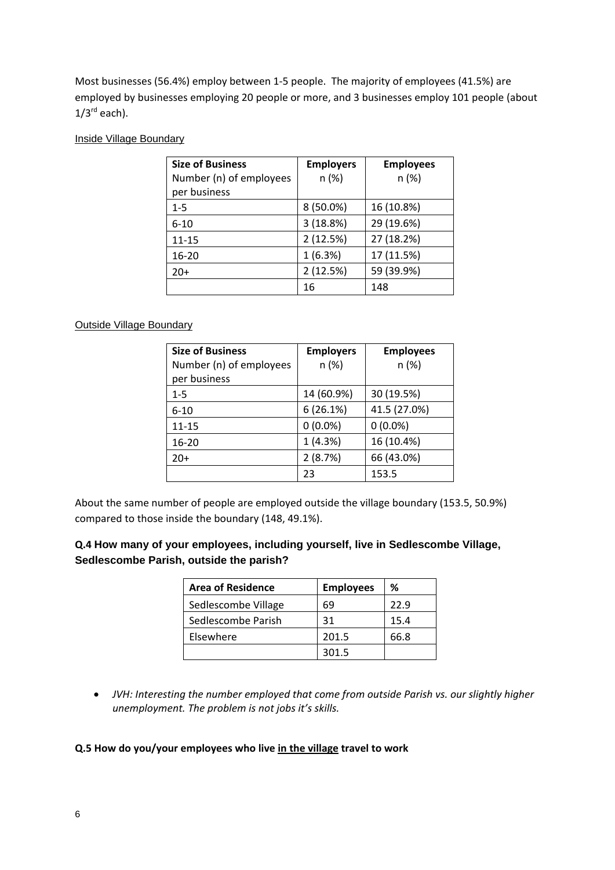Most businesses (56.4%) employ between 1-5 people. The majority of employees (41.5%) are employed by businesses employing 20 people or more, and 3 businesses employ 101 people (about  $1/3^{rd}$  each).

### Inside Village Boundary

| <b>Size of Business</b> | <b>Employers</b> | <b>Employees</b> |
|-------------------------|------------------|------------------|
| Number (n) of employees | n(%)             | n(%)             |
| per business            |                  |                  |
| $1 - 5$                 | 8 (50.0%)        | 16 (10.8%)       |
| $6 - 10$                | 3 (18.8%)        | 29 (19.6%)       |
| 11-15                   | 2(12.5%)         | 27 (18.2%)       |
| $16 - 20$               | 1(6.3%)          | 17 (11.5%)       |
| $20+$                   | 2(12.5%)         | 59 (39.9%)       |
|                         | 16               | 148              |

## Outside Village Boundary

| <b>Size of Business</b> | <b>Employers</b> | <b>Employees</b> |
|-------------------------|------------------|------------------|
| Number (n) of employees | n(%)             | n(%)             |
| per business            |                  |                  |
| $1 - 5$                 | 14 (60.9%)       | 30 (19.5%)       |
| $6 - 10$                | 6(26.1%)         | 41.5 (27.0%)     |
| 11-15                   | $0(0.0\%)$       | $0(0.0\%)$       |
| 16-20                   | 1(4.3%)          | 16 (10.4%)       |
| $20+$                   | 2(8.7%)          | 66 (43.0%)       |
|                         | 23               | 153.5            |

About the same number of people are employed outside the village boundary (153.5, 50.9%) compared to those inside the boundary (148, 49.1%).

# **Q.4 How many of your employees, including yourself, live in Sedlescombe Village, Sedlescombe Parish, outside the parish?**

| <b>Area of Residence</b> | <b>Employees</b> | ℅    |
|--------------------------|------------------|------|
| Sedlescombe Village      | 69               | 22.9 |
| Sedlescombe Parish       | 31               | 15.4 |
| Elsewhere                | 201.5            | 66.8 |
|                          | 301.5            |      |

• *JVH: Interesting the number employed that come from outside Parish vs. our slightly higher unemployment. The problem is not jobs it's skills.*

## **Q.5 How do you/your employees who live in the village travel to work**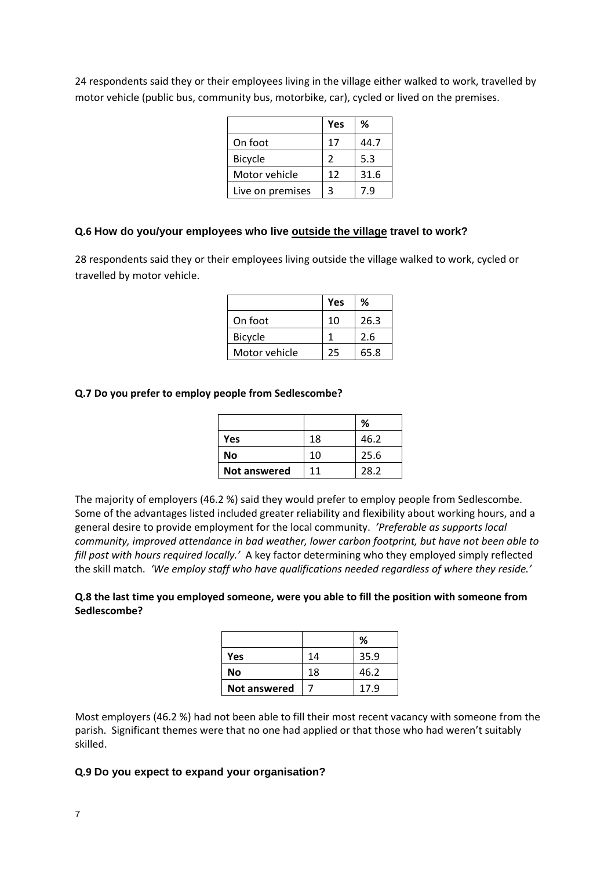|                  | Yes | ℅    |
|------------------|-----|------|
| On foot          | 17  | 44.7 |
| <b>Bicycle</b>   | 2   | 5.3  |
| Motor vehicle    | 12  | 31.6 |
| Live on premises | 3   | 7.9  |

24 respondents said they or their employees living in the village either walked to work, travelled by motor vehicle (public bus, community bus, motorbike, car), cycled or lived on the premises.

#### **Q.6 How do you/your employees who live outside the village travel to work?**

28 respondents said they or their employees living outside the village walked to work, cycled or travelled by motor vehicle.

|                | Yes | ℅    |
|----------------|-----|------|
| On foot        | 10  | 26.3 |
| <b>Bicycle</b> |     | 2.6  |
| Motor vehicle  | 25  | 65.8 |

#### **Q.7 Do you prefer to employ people from Sedlescombe?**

|                     |    | ℅    |
|---------------------|----|------|
| Yes                 | 18 | 46.2 |
| No                  | 10 | 25.6 |
| <b>Not answered</b> | 11 | 28.2 |

The majority of employers (46.2 %) said they would prefer to employ people from Sedlescombe. Some of the advantages listed included greater reliability and flexibility about working hours, and a general desire to provide employment for the local community. *'Preferable as supports local community, improved attendance in bad weather, lower carbon footprint, but have not been able to fill post with hours required locally.'* A key factor determining who they employed simply reflected the skill match. *'We employ staff who have qualifications needed regardless of where they reside.'*

#### **Q.8 the last time you employed someone, were you able to fill the position with someone from Sedlescombe?**

|                     |    | %    |
|---------------------|----|------|
| Yes                 | 14 | 35.9 |
| No                  | 18 | 46.2 |
| <b>Not answered</b> |    | 17.9 |

Most employers (46.2 %) had not been able to fill their most recent vacancy with someone from the parish. Significant themes were that no one had applied or that those who had weren't suitably skilled.

#### **Q.9 Do you expect to expand your organisation?**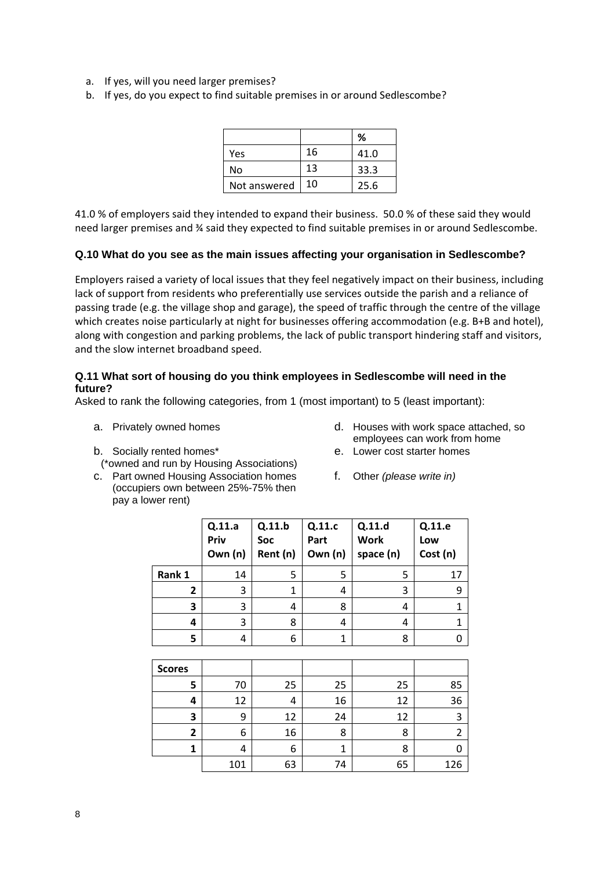- a. If yes, will you need larger premises?
- b. If yes, do you expect to find suitable premises in or around Sedlescombe?

|              |    | %    |
|--------------|----|------|
| Yes          | 16 | 41.0 |
| No           | 13 | 33.3 |
| Not answered | 10 | 25.6 |

41.0 % of employers said they intended to expand their business. 50.0 % of these said they would need larger premises and ¾ said they expected to find suitable premises in or around Sedlescombe.

### **Q.10 What do you see as the main issues affecting your organisation in Sedlescombe?**

Employers raised a variety of local issues that they feel negatively impact on their business, including lack of support from residents who preferentially use services outside the parish and a reliance of passing trade (e.g. the village shop and garage), the speed of traffic through the centre of the village which creates noise particularly at night for businesses offering accommodation (e.g. B+B and hotel), along with congestion and parking problems, the lack of public transport hindering staff and visitors, and the slow internet broadband speed.

### **Q.11 What sort of housing do you think employees in Sedlescombe will need in the future?**

Asked to rank the following categories, from 1 (most important) to 5 (least important):

- 
- b. Socially rented homes\*
	- (\*owned and run by Housing Associations)
- c. Part owned Housing Association homes (occupiers own between 25%-75% then pay a lower rent)
- a. Privately owned homes and the determined of the determined of Houses with work space attached, so employees can work from home

 $\sqrt{2116}$ 

┑

- e. Lower cost starter homes
- f. Other *(please write in)*

|               | Q.11.a<br>Priv<br>Own (n) | Q.11.b<br>Soc<br>Rent (n) | Q.11.c<br>Part<br>Own (n) | Q.11.d<br><b>Work</b><br>space (n) | Q.11.e<br>Low<br>Cost (n) |
|---------------|---------------------------|---------------------------|---------------------------|------------------------------------|---------------------------|
| Rank 1        | 14                        | 5                         | 5                         | 5                                  | 17                        |
| 2             | 3                         | 1                         | 4                         | 3                                  | 9                         |
| 3             | 3                         | 4                         | 8                         | 4                                  | $\overline{1}$            |
| 4             | 3                         | 8                         | 4                         | 4                                  | $\mathbf 1$               |
| 5             | 4                         | 6                         | 1                         | 8                                  | 0                         |
|               |                           |                           |                           |                                    |                           |
| <b>Scores</b> |                           |                           |                           |                                    |                           |
| 5             | 70                        | 25                        | 25                        | 25                                 | 85                        |
| 4             | 12                        | 4                         | 16                        | 12                                 | 36                        |
| 3             | 9                         | 12                        | 24                        | 12                                 | 3                         |
| $\mathbf{2}$  | 6                         | 16                        | 8                         | 8                                  | $\overline{2}$            |
| 1             | 4                         | 6                         | $\mathbf{1}$              | 8                                  | 0                         |
|               | 101                       | 63                        | 74                        | 65                                 | 126                       |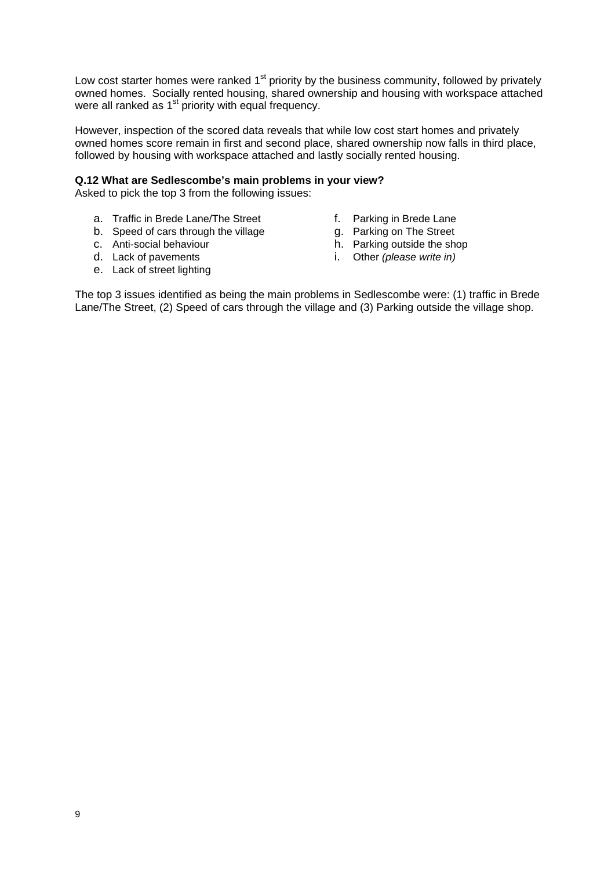Low cost starter homes were ranked 1<sup>st</sup> priority by the business community, followed by privately owned homes. Socially rented housing, shared ownership and housing with workspace attached were all ranked as  $1<sup>st</sup>$  priority with equal frequency.

However, inspection of the scored data reveals that while low cost start homes and privately owned homes score remain in first and second place, shared ownership now falls in third place, followed by housing with workspace attached and lastly socially rented housing.

#### **Q.12 What are Sedlescombe's main problems in your view?**

Asked to pick the top 3 from the following issues:

- a. Traffic in Brede Lane/The Street f. Parking in Brede Lane<br>b. Speed of cars through the village g. Parking on The Street
- b. Speed of cars through the village  $\begin{array}{ccc} g. & \text{Parking on The Street} \\ \text{c.} & \text{Anti-social behaviour} \end{array}$
- c. Anti-social behaviour
- 
- e. Lack of street lighting
- 
- 
- 
- d. Lack of pavements i. Other *(please write in)*

The top 3 issues identified as being the main problems in Sedlescombe were: (1) traffic in Brede Lane/The Street, (2) Speed of cars through the village and (3) Parking outside the village shop.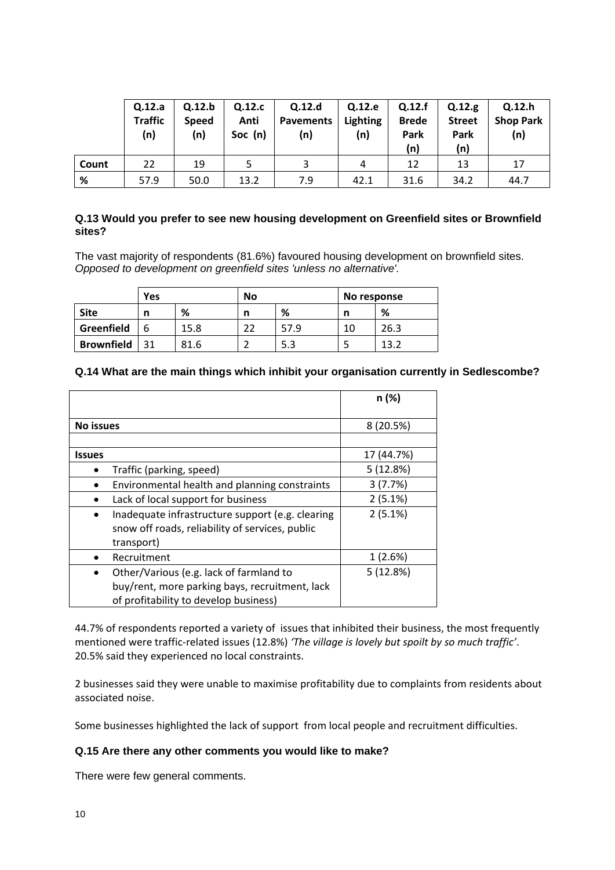|       | Q.12.a<br><b>Traffic</b><br>(n) | Q.12.b<br><b>Speed</b><br>(n) | Q.12.c<br>Anti<br>Soc (n) | Q.12.d<br><b>Pavements</b><br>(n) | Q.12.e<br><b>Lighting</b><br>(n) | Q.12.f<br><b>Brede</b><br>Park<br>(n) | Q.12.g<br><b>Street</b><br>Park<br>(n) | Q.12.h<br><b>Shop Park</b><br>(n) |
|-------|---------------------------------|-------------------------------|---------------------------|-----------------------------------|----------------------------------|---------------------------------------|----------------------------------------|-----------------------------------|
| Count | 22                              | 19                            |                           | 3                                 | 4                                | 12                                    | 13                                     | 17                                |
| %     | 57.9                            | 50.0                          | 13.2                      | 7.9                               | 42.1                             | 31.6                                  | 34.2                                   | 44.7                              |

### **Q.13 Would you prefer to see new housing development on Greenfield sites or Brownfield sites?**

The vast majority of respondents (81.6%) favoured housing development on brownfield sites. *Opposed to development on greenfield sites 'unless no alternative'.*

|                   | <b>Yes</b> |      | No |      | No response |      |
|-------------------|------------|------|----|------|-------------|------|
| <b>Site</b>       | n          | %    | n  | %    |             | %    |
| Greenfield        | h          | 15.8 |    | 57.9 | 10          | 26.3 |
| <b>Brownfield</b> |            | 81.6 |    | 5.3  |             | 13.2 |

## **Q.14 What are the main things which inhibit your organisation currently in Sedlescombe?**

|                                                                                                                                    | n (%)      |
|------------------------------------------------------------------------------------------------------------------------------------|------------|
| No issues                                                                                                                          | 8 (20.5%)  |
|                                                                                                                                    |            |
| <b>Issues</b>                                                                                                                      | 17 (44.7%) |
| Traffic (parking, speed)                                                                                                           | 5(12.8%)   |
| Environmental health and planning constraints                                                                                      | 3(7.7%)    |
| Lack of local support for business                                                                                                 | 2(5.1%)    |
| Inadequate infrastructure support (e.g. clearing<br>snow off roads, reliability of services, public<br>transport)                  | 2(5.1%)    |
| Recruitment                                                                                                                        | 1(2.6%)    |
| Other/Various (e.g. lack of farmland to<br>buy/rent, more parking bays, recruitment, lack<br>of profitability to develop business) | 5(12.8%)   |

44.7% of respondents reported a variety of issues that inhibited their business, the most frequently mentioned were traffic-related issues (12.8%) *'The village is lovely but spoilt by so much traffic'*. 20.5% said they experienced no local constraints.

2 businesses said they were unable to maximise profitability due to complaints from residents about associated noise.

Some businesses highlighted the lack of support from local people and recruitment difficulties.

## **Q.15 Are there any other comments you would like to make?**

There were few general comments.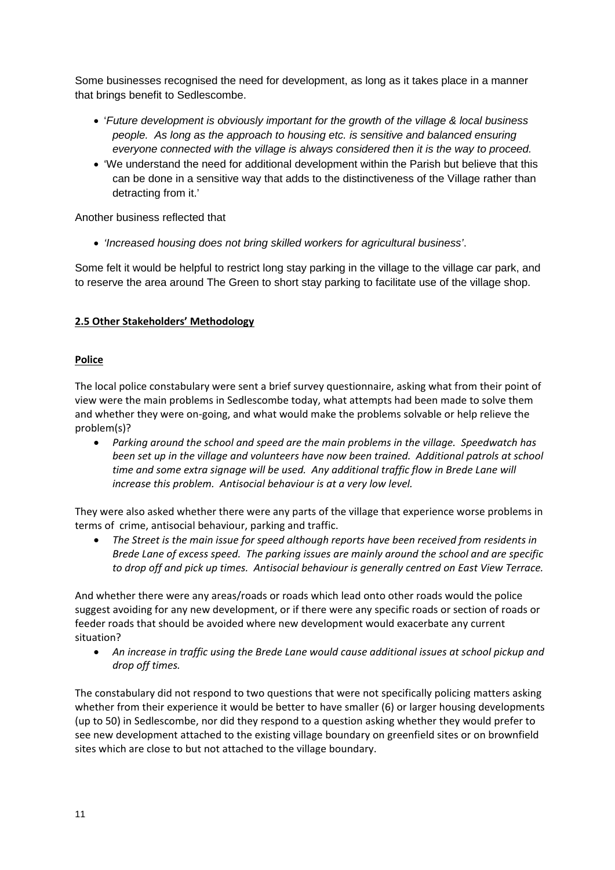Some businesses recognised the need for development, as long as it takes place in a manner that brings benefit to Sedlescombe.

- '*Future development is obviously important for the growth of the village & local business people. As long as the approach to housing etc. is sensitive and balanced ensuring everyone connected with the village is always considered then it is the way to proceed.*
- 'We understand the need for additional development within the Parish but believe that this can be done in a sensitive way that adds to the distinctiveness of the Village rather than detracting from it.'

Another business reflected that

• *'Increased housing does not bring skilled workers for agricultural business'*.

Some felt it would be helpful to restrict long stay parking in the village to the village car park, and to reserve the area around The Green to short stay parking to facilitate use of the village shop.

# **2.5 Other Stakeholders' Methodology**

## **Police**

The local police constabulary were sent a brief survey questionnaire, asking what from their point of view were the main problems in Sedlescombe today, what attempts had been made to solve them and whether they were on-going, and what would make the problems solvable or help relieve the problem(s)?

• *Parking around the school and speed are the main problems in the village. Speedwatch has been set up in the village and volunteers have now been trained. Additional patrols at school time and some extra signage will be used. Any additional traffic flow in Brede Lane will increase this problem. Antisocial behaviour is at a very low level.*

They were also asked whether there were any parts of the village that experience worse problems in terms of crime, antisocial behaviour, parking and traffic.

• *The Street is the main issue for speed although reports have been received from residents in Brede Lane of excess speed. The parking issues are mainly around the school and are specific to drop off and pick up times. Antisocial behaviour is generally centred on East View Terrace.*

And whether there were any areas/roads or roads which lead onto other roads would the police suggest avoiding for any new development, or if there were any specific roads or section of roads or feeder roads that should be avoided where new development would exacerbate any current situation?

• *An increase in traffic using the Brede Lane would cause additional issues at school pickup and drop off times.*

The constabulary did not respond to two questions that were not specifically policing matters asking whether from their experience it would be better to have smaller (6) or larger housing developments (up to 50) in Sedlescombe, nor did they respond to a question asking whether they would prefer to see new development attached to the existing village boundary on greenfield sites or on brownfield sites which are close to but not attached to the village boundary.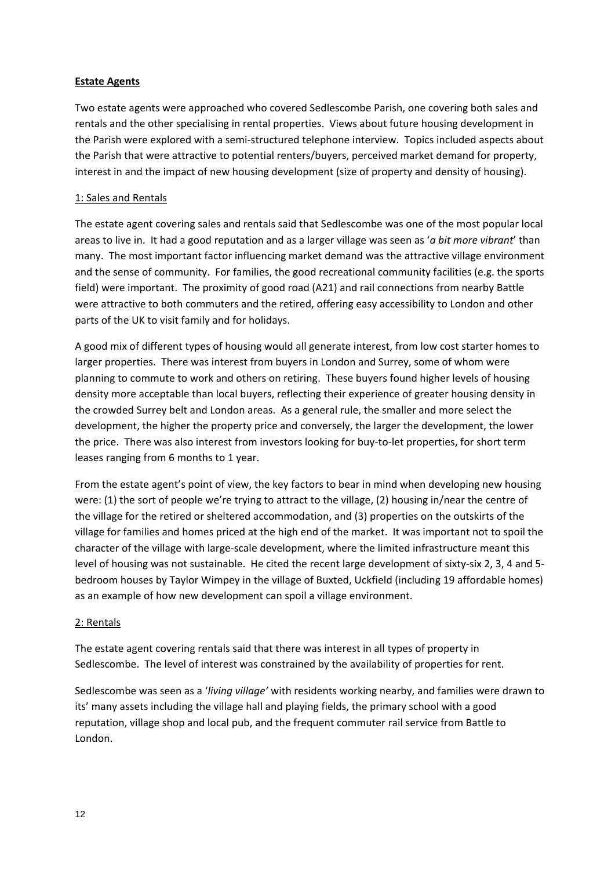## **Estate Agents**

Two estate agents were approached who covered Sedlescombe Parish, one covering both sales and rentals and the other specialising in rental properties. Views about future housing development in the Parish were explored with a semi-structured telephone interview. Topics included aspects about the Parish that were attractive to potential renters/buyers, perceived market demand for property, interest in and the impact of new housing development (size of property and density of housing).

### 1: Sales and Rentals

The estate agent covering sales and rentals said that Sedlescombe was one of the most popular local areas to live in. It had a good reputation and as a larger village was seen as '*a bit more vibrant*' than many. The most important factor influencing market demand was the attractive village environment and the sense of community. For families, the good recreational community facilities (e.g. the sports field) were important. The proximity of good road (A21) and rail connections from nearby Battle were attractive to both commuters and the retired, offering easy accessibility to London and other parts of the UK to visit family and for holidays.

A good mix of different types of housing would all generate interest, from low cost starter homes to larger properties. There was interest from buyers in London and Surrey, some of whom were planning to commute to work and others on retiring. These buyers found higher levels of housing density more acceptable than local buyers, reflecting their experience of greater housing density in the crowded Surrey belt and London areas. As a general rule, the smaller and more select the development, the higher the property price and conversely, the larger the development, the lower the price. There was also interest from investors looking for buy-to-let properties, for short term leases ranging from 6 months to 1 year.

From the estate agent's point of view, the key factors to bear in mind when developing new housing were: (1) the sort of people we're trying to attract to the village, (2) housing in/near the centre of the village for the retired or sheltered accommodation, and (3) properties on the outskirts of the village for families and homes priced at the high end of the market. It was important not to spoil the character of the village with large-scale development, where the limited infrastructure meant this level of housing was not sustainable. He cited the recent large development of sixty-six 2, 3, 4 and 5 bedroom houses by Taylor Wimpey in the village of Buxted, Uckfield (including 19 affordable homes) as an example of how new development can spoil a village environment.

#### 2: Rentals

The estate agent covering rentals said that there was interest in all types of property in Sedlescombe. The level of interest was constrained by the availability of properties for rent.

Sedlescombe was seen as a '*living village'* with residents working nearby, and families were drawn to its' many assets including the village hall and playing fields, the primary school with a good reputation, village shop and local pub, and the frequent commuter rail service from Battle to London.